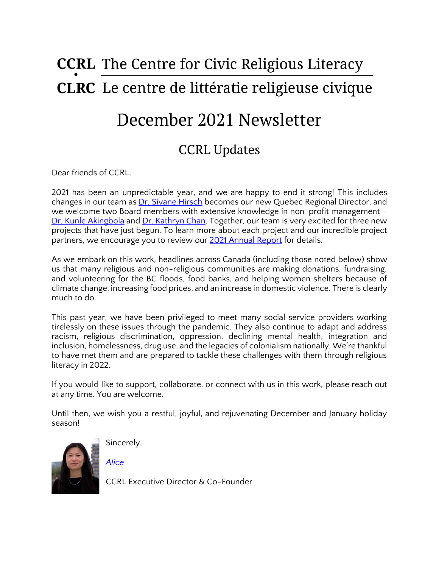# **CCRL** The Centre for Civic Religious Literacy **CLRC** Le centre de littératie religieuse civique

## December 2021 Newsletter

### CCRL Updates

Dear friends of CCRL,

2021 has been an unpredictable year, and we are happy to end it strong! This includes changes in our team as [Dr. Sivane Hirsch](https://ccrl-clrc.ca/sivane-hirsch/) becomes our new Quebec Regional Director, and we welcome two Board members with extensive knowledge in non-profit management – [Dr. Kunle Akingbola](https://www.lakeheadu.ca/users/A/oakingbo) and [Dr. Kathryn Chan.](https://www.uvic.ca/law/facultystaff/facultydirectory/chan.php) Together, our team is very excited for three new projects that have just begun. To learn more about each project and our incredible project partners, we encourage you to review our [2021 Annual Report](https://ccrl-clrc.ca/about-us/annual-reports/) for details.

As we embark on this work, headlines across Canada (including those noted below) show us that many religious and non-religious communities are making donations, fundraising, and volunteering for the BC floods, food banks, and helping women shelters because of climate change, increasing food prices, and an increase in domestic violence. There is clearly much to do.

This past year, we have been privileged to meet many social service providers working tirelessly on these issues through the pandemic. They also continue to adapt and address racism, religious discrimination, oppression, declining mental health, integration and inclusion, homelessness, drug use, and the legacies of colonialism nationally. We're thankful to have met them and are prepared to tackle these challenges with them through religious literacy in 2022.

If you would like to support, collaborate, or connect with us in this work, please reach out at any time. You are welcome.

Until then, we wish you a restful, joyful, and rejuvenating December and January holiday season!



Sincerely,

*[Alice](https://ccrl-clrc.ca/alice-chan/)*

CCRL Executive Director & Co-Founder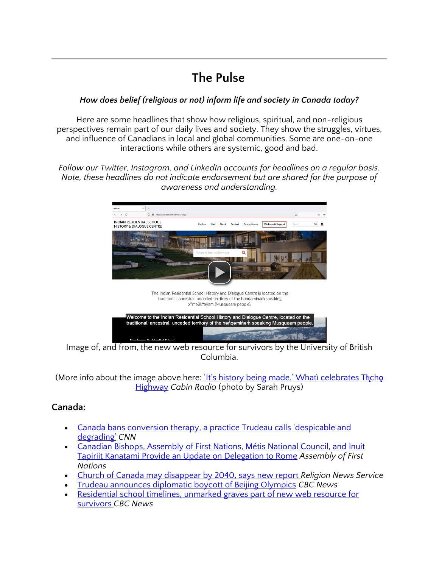### **The Pulse**

#### *How does belief (religious or not) inform life and society in Canada today?*

Here are some headlines that show how religious, spiritual, and non-religious perspectives remain part of our daily lives and society. They show the struggles, virtues, and influence of Canadians in local and global communities. Some are one-on-one interactions while others are systemic, good and bad.

*Follow our Twitter, Instagram, and LinkedIn accounts for headlines on a regular basis. Note, these headlines do not indicate endorsement but are shared for the purpose of awareness and understanding.* 



Image of, and from, the new web resource for survivors by the University of British Columbia.

(More info about the image above here: <u>'It'[s history being made.](https://cabinradio.ca/80857/news/tlicho/its-history-being-made-whati-celebrates-tli%cc%a8ch%c7%ab-highway/)' Whati celebrates Thicho</u> [Highway](https://cabinradio.ca/80857/news/tlicho/its-history-being-made-whati-celebrates-tli%cc%a8ch%c7%ab-highway/) *Cabin Radio* (photo by Sarah Pruys)

#### **Canada:**

- Canada bans conversion therapy[, a practice Trudeau calls 'despicable and](https://www.cnn.com/2021/12/09/americas/canada-conversion-therapy-ban/index.html)  [degrading'](https://www.cnn.com/2021/12/09/americas/canada-conversion-therapy-ban/index.html) *CNN*
- [Canadian Bishops, Assembly of First Nations, Métis National Council, and Inuit](https://www.afn.ca/canadian-bishops-assembly-of-first-nations-metis-national-council-and-inuit-tapiriit-kanatami-provide-an-update-on-delegation-to-rome/)  [Tapiriit Kanatami Provide an Update on Delegation to Rome](https://www.afn.ca/canadian-bishops-assembly-of-first-nations-metis-national-council-and-inuit-tapiriit-kanatami-provide-an-update-on-delegation-to-rome/) *Assembly of First Nations*
- [Church of Canada may disappear by 2040, says new report](https://religionnews.com/2019/11/18/church-of-canada-may-disappear-by-2040-says-new-report/) *Religion News Service*
- [Trudeau announces diplomatic boycott of Beijing Olympics](https://www.cbc.ca/news/politics/trudeau-diplomatic-boycott-winter-olympic-games-1.6277773) *CBC News*
- Residential school timelines, unmarked graves part of new web resource for [survivors](https://www.cbc.ca/news/canada/saskatoon/residential-schools-unmarked-graves-web-resource-1.6275707) *CBC News*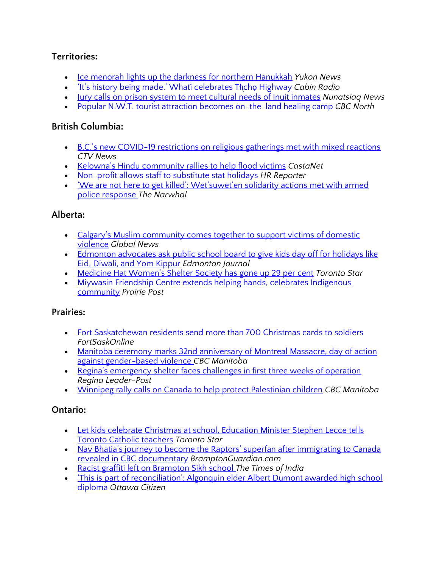#### **Territories:**

- [Ice menorah lights up the darkness for northern Hanukkah](https://www.yukon-news.com/news/ice-menorah-lights-up-the-darkness-for-northern-hanukkah/) *Yukon News*
- <u>'It'[s history being made.](https://cabinradio.ca/80857/news/tlicho/its-history-being-made-whati-celebrates-tli%cc%a8ch%c7%ab-highway/)' Whatì celebrates Tłicho Highway</u> Cabin Radio
- [Jury calls on prison system to meet cultural needs of Inuit inmates](https://nunatsiaq.com/stories/article/jury-calls-on-prison-system-to-meet-cultural-needs-of-inuit-inmates/) *Nunatsiaq News*
- [Popular N.W.T. tourist attraction becomes on-the-land healing camp](https://www.cbc.ca/news/canada/north/aurora-village-on-the-land-healing-camp-1.6272712) *CBC North*

#### **British Columbia:**

- B.C.'s new COVID[-19 restrictions on religious gatherings met with mixed reactions](https://bc.ctvnews.ca/b-c-s-new-covid-19-restrictions-on-religious-gatherings-met-with-mixed-reactions-1.5693425) *CTV News*
- [Kelowna's Hindu community rallies to help flood victims](https://www.castanet.net/news/Kelowna/352910/Kelowna-s-Hindu-community-rallies-to-help-flood-victims) *CastaNet*
- [Non-profit allows staff to substitute stat holidays](https://www.hrreporter.com/focus-areas/diversity/non-profit-allows-staff-to-substitute-stat-holidays/362163) *HR Reporter*
- ['We are not here to get killed': Wet'suwet'en solidarity actions met with armed](https://thenarwhal.ca/wetsuweten-rcmp-solidarity-gitxsan/) [police response](https://thenarwhal.ca/wetsuweten-rcmp-solidarity-gitxsan/) *The Narwhal*

#### **Alberta:**

- [Calgary's Muslim community comes together to support victims of domestic](https://globalnews.ca/news/8424513/calgary-muslim-community-domestic-violence/)  [violence](https://globalnews.ca/news/8424513/calgary-muslim-community-domestic-violence/) *Global News*
- Edmonton advocates ask public school board to give kids day off for holidays like [Eid, Diwali, and Yom Kippur](https://edmontonjournal.com/news/local-news/edmonton-advocates-ask-public-school-board-to-give-kids-day-off-for-holidays-like-eid-diwali-and-yom-kippur) *Edmonton Journal*
- [Medicine Hat Women's Shelter Society has gone up 29 per cent](https://www.thestar.com/news/canada/2021/12/02/medicine-hat-womens-shelter-society-has-gone-up-29-per-cent.html) *Toronto Star*
- Miywasin Friendship Centre extends helping hands, celebrates Indigenous [community](https://prairiepost.com/alberta/2021/12/08/miyawasin-friendship-centre-extends-helping-hands-celebrates-indigenous-community/) *Prairie Post*

#### **Prairies:**

- [Fort Saskatchewan residents send more than 700 Christmas cards to soldiers](https://www.fortsaskonline.com/articles/fort-saskatchewan-residents-send-more-than-700-christmas-cards-to-soldiers) *FortSaskOnline*
- [Manitoba ceremony marks 32nd anniversary of Montreal Massacre, day of action](https://www.cbc.ca/news/canada/manitoba/day-remembrance-action-violence-against-women-manitoba-1.6275228)  [against gender-based violence](https://www.cbc.ca/news/canada/manitoba/day-remembrance-action-violence-against-women-manitoba-1.6275228) *CBC Manitoba*
- [Regina's emergency shelter faces challenges in first three weeks of operation](https://leaderpost.com/news/local-news/reginas-emergency-shelter-faces-challenges-in-first-three-weeks-of-operation)  *Regina Leader-Post*
- [Winnipeg rally calls on Canada to help protect Palestinian children](https://www.cbc.ca/news/canada/manitoba/palestinian-children-rights-rally-winnipeg-1.6266018) *CBC Manitoba*

#### **Ontario:**

- [Let kids celebrate Christmas at school, Education Minister Stephen Lecce tells](https://www.thestar.com/politics/provincial/2021/12/05/let-kids-celebrate-christmas-at-school-education-minister-stephen-lecce-tells-toronto-catholic-teachers.html)  [Toronto Catholic teachers](https://www.thestar.com/politics/provincial/2021/12/05/let-kids-celebrate-christmas-at-school-education-minister-stephen-lecce-tells-toronto-catholic-teachers.html) *Toronto Star*
- Nav Bhatia's journey to become the Raptors' superfan after immigrating to Canada [revealed in CBC documentary](https://www.bramptonguardian.com/news-story/10532349-nav-bhatia-s-journey-to-become-the-raptors-superfan-after-immigrating-to-canada-revealed-in-cbc-documentary/) *BramptonGuardian.com*
- [Racist graffiti left on Brampton Sikh school](http://timesofindia.indiatimes.com/articleshow/88132297.cms?utm_source=contentofinterest&utm_medium=text&utm_campaign=cppst) *The Times of India*
- ['This is part of reconciliation': Algonquin elder Albert Dumont awarded high school](https://ottawacitizen.com/news/this-is-part-of-reconciliation-algonquin-elder-albert-dumont-awarded-high-school-diploma)  [diploma](https://ottawacitizen.com/news/this-is-part-of-reconciliation-algonquin-elder-albert-dumont-awarded-high-school-diploma) *Ottawa Citizen*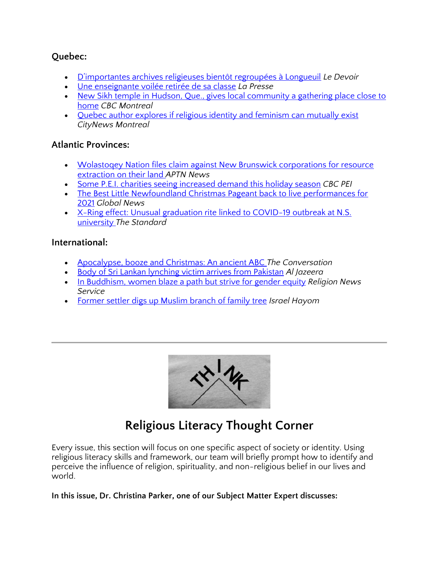#### **Quebec:**

- [D'importantes archives religieuses bientôt regroupées à Longueuil](https://www.ledevoir.com/societe/652350/patrimoine-d-importantes-archives-religieuses-bientot-regroupees-a-longueuil) *Le Devoir*
- [Une enseignante voilée retirée de sa classe](https://www.lapresse.ca/actualites/education/2021-12-09/loi-21/une-enseignante-voilee-retiree-de-sa-classe.php) *La Presse*
- New Sikh temple in Hudson, Que., gives local community a gathering place close to [home](https://www.cbc.ca/news/canada/montreal/hudson-gurdwara-sikh-temple-community-1.6254579) *CBC Montreal*
- [Quebec author explores if religious identity and feminism can mutually exist](https://montreal.citynews.ca/2021/12/08/quebec-author-religion-feminism/) *CityNews Montreal*

#### **Atlantic Provinces:**

- Wolastoqey Nation files claim [against New Brunswick corporations for resource](https://www.aptnnews.ca/national-news/wolastoqey-nation-files-claim-against-new-brunswick-corporations-for-exploration-on-their-land/)  [extraction on their land](https://www.aptnnews.ca/national-news/wolastoqey-nation-files-claim-against-new-brunswick-corporations-for-exploration-on-their-land/) *APTN News*
- [Some P.E.I. charities seeing increased demand this holiday season](https://www.cbc.ca/news/canada/prince-edward-island/pei-charity-volunteer-christmas-donation-1.6273325) *CBC PEI*
- The Best Little Newfoundland Christmas Pageant back to live performances for [2021](https://globalnews.ca/video/8428342/the-best-little-newfoundland-christmas-pageant-back-to-live-performances-for-2021) *Global News*
- X-Ring effect: Unusual graduation rite linked to COVID-19 outbreak at N.S. [university](https://www.stcatharinesstandard.ca/ts/politics/2021/12/09/covid-19-infections-on-the-rise-after-grad-ceremonies-at-university-in-nova-scotia.html) *The Standard*

#### **International:**

- [Apocalypse, booze and Christmas: An ancient ABC](https://theconversation.com/apocalypse-booze-and-christmas-an-ancient-abc-172014) *The Conversation*
- [Body of Sri Lankan lynching victim arrives from Pakistan](https://www.aljazeera.com/news/2021/12/7/body-sri-lanka-lynching-victim-pakistan-blasphemy-funeral) *Al Jazeera*
- [In Buddhism, women blaze a path but strive for gender equity](https://religionnews.com/2021/12/09/in-buddhism-women-blaze-a-path-but-strive-for-gender-equity/) *Religion News Service*
- [Former settler digs up Muslim branch of family tree](https://www.israelhayom.com/2021/12/09/former-settler-digs-up-muslim-branch-of-family-tree/) *Israel Hayom*



### **Religious Literacy Thought Corner**

Every issue, this section will focus on one specific aspect of society or identity. Using religious literacy skills and framework, our team will briefly prompt how to identify and perceive the influence of religion, spirituality, and non-religious belief in our lives and world.

#### **In this issue, Dr. Christina Parker, one of our Subject Matter Expert discusses:**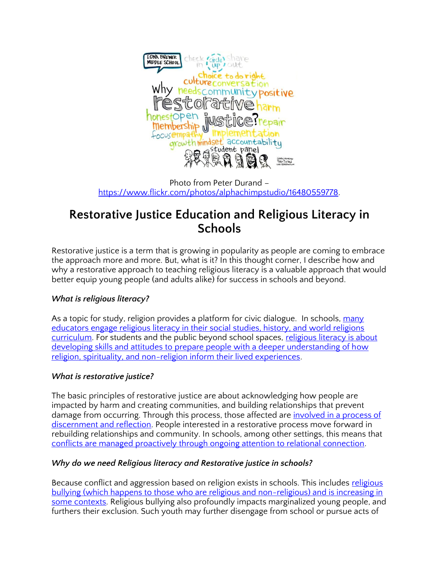

Photo from Peter Durand – [https://www.flickr.com/photos/alphachimpstudio/16480559778.](https://www.flickr.com/photos/alphachimpstudio/16480559778)

### **Restorative Justice Education and Religious Literacy in Schools**

Restorative justice is a term that is growing in popularity as people are coming to embrace the approach more and more. But, what is it? In this thought corner, I describe how and why a restorative approach to teaching religious literacy is a valuable approach that would better equip young people (and adults alike) for success in schools and beyond.

#### *What is religious literacy?*

As a topic for study, religion provides a platform for civic dialogue. In schools, many [educators engage religious literacy in their social studies, history, and world religions](https://www.researchgate.net/publication/331991855_Recognition_of_context_and_experience_a_civic-based_Canadian_conception_of_religious_literacy)  [curriculum.](https://www.researchgate.net/publication/331991855_Recognition_of_context_and_experience_a_civic-based_Canadian_conception_of_religious_literacy) For students and the public beyond school spaces, religious literacy is about developing skills and attitudes to prepare people with a deeper understanding of how [religion, spirituality, and non-religion inform their lived experiences.](https://www.researchgate.net/publication/331991855_Recognition_of_context_and_experience_a_civic-based_Canadian_conception_of_religious_literacy)

#### *What is restorative justice?*

The basic principles of restorative justice are about acknowledging how people are impacted by harm and creating communities, and building relationships that prevent damage from occurring. Through this process, those affected are <u>involved in a process of</u> [discernment and reflection.](https://sites.unicef.org/tdad/littlebookrjpakaf.pdf) People interested in a restorative process move forward in rebuilding relationships and community. In schools, among other settings, this means that [conflicts are managed proactively through ongoing attention to relational connection.](https://www.elevenjournals.com/tijdschrift/TIJRJ/2018/3/IJRJ_2589-0891_2018_001_003_005)

#### *Why do we need Religious literacy and Restorative justice in schools?*

Because conflict and aggression based on religion exists in schools. This includes religious bullying (which happens to those who are religious and non-religious) and is increasing in [some contexts.](https://www.routledge.com/Teaching-Religious-Literacy-to-Combat-Religious-Bullying-Insights-from/Chan/p/book/9780367640415) Religious bullying also profoundly impacts marginalized young people, and furthers their exclusion. Such youth may further disengage from school or pursue acts of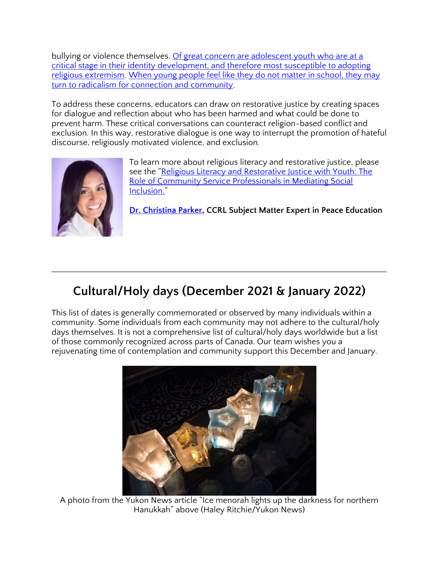bullying or violence themselves. Of great concern are adolescent youth who are at a [critical stage in their identity development, and therefore most susceptible to adopting](https://www.researchgate.net/publication/303498447_Can_education_counter_violent_religious_extremism)  [religious extremism.](https://www.researchgate.net/publication/303498447_Can_education_counter_violent_religious_extremism) [When young people feel like they do not matter in school, they may](https://www.tandfonline.com/doi/abs/10.1080/15507394.2021.1903789?src=&journalCode=urel20)  [turn to radicalism for connection and community.](https://www.tandfonline.com/doi/abs/10.1080/15507394.2021.1903789?src=&journalCode=urel20)

To address these concerns, educators can draw on restorative justice by creating spaces for dialogue and reflection about who has been harmed and what could be done to prevent harm. These critical conversations can counteract religion-based conflict and exclusion. In this way, restorative dialogue is one way to interrupt the promotion of hateful discourse, religiously motivated violence, and exclusion.



To learn more about religious literacy and restorative justice, please see the "[Religious Literacy and Restorative Justice with Youth: The](https://www.tandfonline.com/doi/full/10.1080/15507394.2021.1903789)  [Role of Community Service Professionals in Mediating Social](https://www.tandfonline.com/doi/full/10.1080/15507394.2021.1903789)  [Inclusion.](https://www.tandfonline.com/doi/full/10.1080/15507394.2021.1903789)"

**[Dr. Christina Parker,](https://ccrl-clrc.ca/christina-parker/) CCRL Subject Matter Expert in Peace Education**

### **Cultural/Holy days (December 2021 & January 2022)**

This list of dates is generally commemorated or observed by many individuals within a community. Some individuals from each community may not adhere to the cultural/holy days themselves. It is not a comprehensive list of cultural/holy days worldwide but a list of those commonly recognized across parts of Canada. Our team wishes you a rejuvenating time of contemplation and community support this December and January.



A photo from the Yukon News article "Ice menorah lights up the darkness for northern Hanukkah" above (Haley Ritchie/Yukon News)